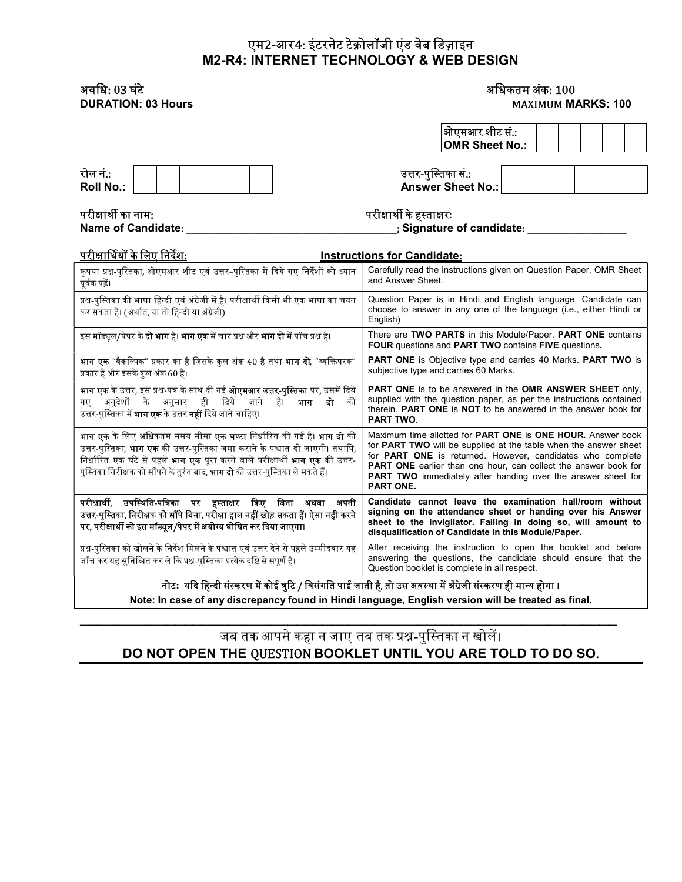#### एम2-आर4: इंटरनेट टेक्नोलॉजी एंड वेब डिज़ाइन M2-R4: INTERNET TECHNOLOGY & WEB DESIGN

# अविध: 03 घटं े अिधकतम अकं : 100

# **MAXIMUM MARKS: 100**

|                                                                                                                                                                                                                                                                                                                                                                           | ओएमआर शीट सं.:                                                                                                                                                                                                                                                                                                                                                                          |  |  |  |  |
|---------------------------------------------------------------------------------------------------------------------------------------------------------------------------------------------------------------------------------------------------------------------------------------------------------------------------------------------------------------------------|-----------------------------------------------------------------------------------------------------------------------------------------------------------------------------------------------------------------------------------------------------------------------------------------------------------------------------------------------------------------------------------------|--|--|--|--|
|                                                                                                                                                                                                                                                                                                                                                                           | <b>OMR Sheet No.:</b>                                                                                                                                                                                                                                                                                                                                                                   |  |  |  |  |
|                                                                                                                                                                                                                                                                                                                                                                           |                                                                                                                                                                                                                                                                                                                                                                                         |  |  |  |  |
| रोल नं.:                                                                                                                                                                                                                                                                                                                                                                  | उत्तर-पुस्तिका सं.:                                                                                                                                                                                                                                                                                                                                                                     |  |  |  |  |
| <b>Roll No.:</b>                                                                                                                                                                                                                                                                                                                                                          | <b>Answer Sheet No.:</b>                                                                                                                                                                                                                                                                                                                                                                |  |  |  |  |
|                                                                                                                                                                                                                                                                                                                                                                           |                                                                                                                                                                                                                                                                                                                                                                                         |  |  |  |  |
| परीक्षार्थी का नाम:                                                                                                                                                                                                                                                                                                                                                       | परीक्षार्थी के हस्ताक्षरः                                                                                                                                                                                                                                                                                                                                                               |  |  |  |  |
| Name of Candidate:                                                                                                                                                                                                                                                                                                                                                        | ; Signature of candidate: _                                                                                                                                                                                                                                                                                                                                                             |  |  |  |  |
| <u>परीक्षार्थियों के लिए निर्देश:</u>                                                                                                                                                                                                                                                                                                                                     | <b>Instructions for Candidate:</b>                                                                                                                                                                                                                                                                                                                                                      |  |  |  |  |
| कृपया प्रश्न-पुस्तिका, ओएमआर शीट एवं उत्तर–पुस्तिका में दिये गए निर्देशों को ध्यान<br>पर्वक पढ़ें।                                                                                                                                                                                                                                                                        | Carefully read the instructions given on Question Paper, OMR Sheet<br>and Answer Sheet.                                                                                                                                                                                                                                                                                                 |  |  |  |  |
| प्रश्न-पुस्तिका की भाषा हिन्दी एवं अंग्रेजी में है। परीक्षार्थी किसी भी एक भाषा का चयन<br>कर सकता है। (अर्थात, या तो हिन्दी या अंग्रेजी)                                                                                                                                                                                                                                  | Question Paper is in Hindi and English language. Candidate can<br>choose to answer in any one of the language (i.e., either Hindi or<br>English)                                                                                                                                                                                                                                        |  |  |  |  |
| इस मॉड्यूल/पेपर के <b>दो भाग</b> है। <b>भाग एक</b> में चार प्रश्न और <b>भाग दो</b> में पाँच प्रश्न है।                                                                                                                                                                                                                                                                    | There are TWO PARTS in this Module/Paper. PART ONE contains<br>FOUR questions and PART TWO contains FIVE questions.                                                                                                                                                                                                                                                                     |  |  |  |  |
| <b>भाग एक</b> "वैकल्पिक" प्रकार का है जिसके कुल अंक 40 है तथा <b>भाग दो</b> , "व्यक्तिपरक"<br>प्रकार है और इसके कुल अंक 60 है।                                                                                                                                                                                                                                            | <b>PART ONE</b> is Objective type and carries 40 Marks. <b>PART TWO</b> is<br>subjective type and carries 60 Marks.                                                                                                                                                                                                                                                                     |  |  |  |  |
| <b>भाग एक</b> के उत्तर, इस प्रश्न-पत्र के साथ दी गई <b>ओएमआर उत्तर-पुस्तिका</b> पर, उसमें दिये                                                                                                                                                                                                                                                                            | <b>PART ONE</b> is to be answered in the <b>OMR ANSWER SHEET</b> only,                                                                                                                                                                                                                                                                                                                  |  |  |  |  |
| अनुदेशों के अनुसार ही दिये जाने<br>है।<br>भाग<br>दो<br>की<br>गए<br>उत्तर-पुस्तिका में <b>भाग एक</b> के उत्तर <b>नहीं</b> दिये जाने चाहिए।                                                                                                                                                                                                                                 | supplied with the question paper, as per the instructions contained<br>therein. <b>PART ONE</b> is <b>NOT</b> to be answered in the answer book for<br><b>PART TWO.</b>                                                                                                                                                                                                                 |  |  |  |  |
| <b>भाग एक</b> के लिए अधिकतम समय सीमा <b>एक घण्टा</b> निर्धारित की गई है। <b>भाग दो</b> की<br>उत्तर-पुस्तिका, <b>भाग एक</b> की उत्तर-पुस्तिका जमा कराने के पश्चात दी जाएगी। तथापि,<br>निर्धारित एक घंटे से पहले <b>भाग एक</b> पूरा करने वाले परीक्षार्थी <b>भाग एक</b> की उत्तर-<br>पुस्तिका निरीक्षक को सौंपने के तुरंत बाद, <b>भाग दो</b> की उत्तर-पुस्तिका ले सकते हैं। | Maximum time allotted for <b>PART ONE</b> is <b>ONE HOUR.</b> Answer book<br>for PART TWO will be supplied at the table when the answer sheet<br>for <b>PART ONE</b> is returned. However, candidates who complete<br><b>PART ONE</b> earlier than one hour, can collect the answer book for<br><b>PART TWO</b> immediately after handing over the answer sheet for<br><b>PART ONE.</b> |  |  |  |  |
| परीक्षार्थी, उपस्थिति-पत्रिका पर हस्ताक्षर किए बिना अथवा<br>अपनी<br>उत्तर-पुस्तिका, निरीक्षक को सौंपे बिना, परीक्षा हाल नहीं छोड़ सकता हैं। ऐसा नही करने<br>पर, परीक्षार्थी को इस मॉड्यूल/पेपर में अयोग्य घोषित कर दिया जाएगा।                                                                                                                                            | Candidate cannot leave the examination hall/room without<br>signing on the attendance sheet or handing over his Answer<br>sheet to the invigilator. Failing in doing so, will amount to<br>disqualification of Candidate in this Module/Paper.                                                                                                                                          |  |  |  |  |
| प्रश्न-पुस्तिका को खोलने के निर्देश मिलने के पश्चात एवं उत्तर देने से पहले उम्मीदवार यह<br>जाँच कर यह सुनिश्चित कर ले कि प्रश्न-पुस्तिका प्रत्येक दृष्टि से संपूर्ण है।                                                                                                                                                                                                   | After receiving the instruction to open the booklet and before<br>answering the questions, the candidate should ensure that the<br>Question booklet is complete in all respect.                                                                                                                                                                                                         |  |  |  |  |
| नोट: यदि हिन्दी संस्करण में कोई त्रुटि / विसंगति पाई जाती है, तो उस अवस्था में अँग्रेजी संस्करण ही मान्य होगा ।                                                                                                                                                                                                                                                           |                                                                                                                                                                                                                                                                                                                                                                                         |  |  |  |  |

Note: In case of any discrepancy found in Hindi language, English version will be treated as final.

 $\mathcal{L}_\text{max}$  , and the contract of the contract of the contract of the contract of the contract of the contract of the contract of the contract of the contract of the contract of the contract of the contract of the contr

## जब तक आपसेकहा न जाए तब तक ᮧ᳤-पुि᭭तका न खोलᱶ। DO NOT OPEN THE QUESTION BOOKLET UNTIL YOU ARE TOLD TO DO SO.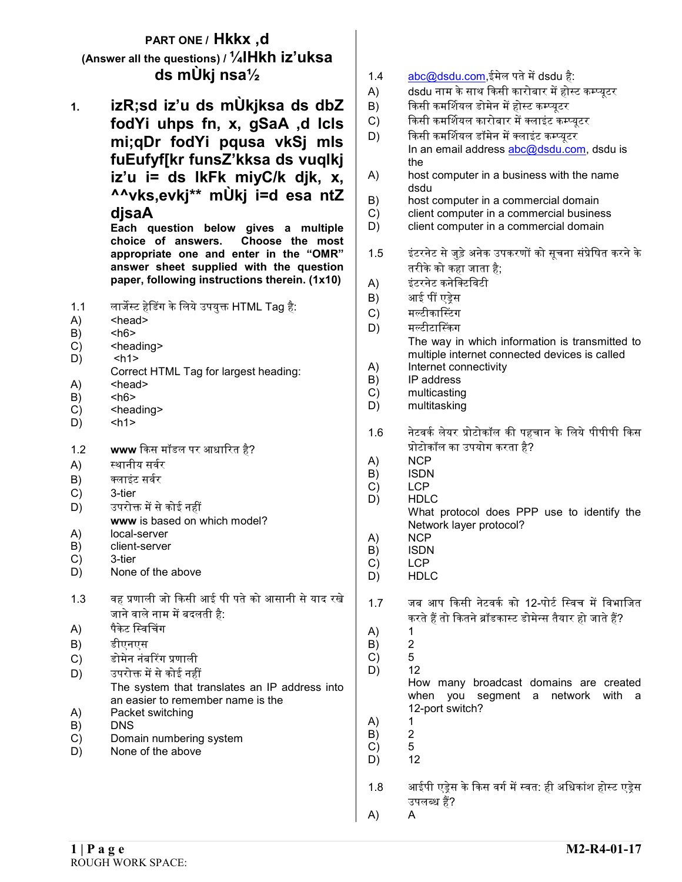### PART ONE / Hkkx ,d (Answer all the questions) /  $\frac{1}{4}$ Hkh iz'uksa ds mÙkj nsa½

1. izR;sd iz'u ds mÙkjksa ds dbZ fodYi uhps fn, x, gSaA ,d lcls mi;qDr fodYi pqusa vkSj mls fuEufyf[kr funsZ'kksa ds vuqlkj iz'u i= ds lkFk miyC/k djk, x, ^^vks,evkj\*\* mÙkj i=d esa ntZ djsaA

Each question below gives a multiple choice of answers. Choose the most appropriate one and enter in the "OMR" answer sheet supplied with the question paper, following instructions therein. (1x10)

- 1.1 लार्जेस्ट हेडिंग के लिये उपयुक्त HTML Tag है:
- A) <head>
- $B)$   $the$
- $C$ )  $\leq$  heading  $>$
- $D)$   $\langle h1 \rangle$
- Correct HTML Tag for largest heading:
- A) <head>
- $B$ )  $<$ h $6$ >
- C) <heading>
- D) <h1>
- 1.2 www किस मॉडल पर आधारित है?
- A) स्थानीय सर्वर
- B) क्लाइंट सर्वर
- C) 3-tier
- D) उपरोक्त में से कोई नहीं
- www is based on which model?
- A) local-server
- B) client-server C) 3-tier
- D) None of the above
- 1.3 वह ᮧणाली जो ᳰकसी आई पी पतेको आसानी सेयाद रखे जाने वाले नाम में बदलती है:
- A) पैकेट स्विचिंग
- B) डीएनएस
- C) डोमेन नंबरिंग प्रणाली
- D) उपरोक्त में से कोई नहीं
- The system that translates an IP address into an easier to remember name is the
- A) Packet switching
- B) DNS
- C) Domain numbering system
- D) None of the above
- 1.4 abc@dsdu.com.ईमेल पते में dsdu है:
- A) dsdu नाम के साथ किसी कारोबार में होस्ट कम्प्यूटर
- B) किसी कमर्शियल डोमेन में होस्ट कम्प्यूटर
- C) किसी कमर्शियल कारोबार में क्लाइंट कम्प्यूटर
- D) किसी कमर्शियल डॉमेन में क्लाइंट कम्प्यूटर In an email address abc@dsdu.com, dsdu is the
- A) host computer in a business with the name dsdu
- B) host computer in a commercial domain
- C) client computer in a commercial business
- D) client computer in a commercial domain
- 1.5 इंटरनेट से जुड़े अनेक उपकरणों को सूचना संप्रेषित करने के तरीकेको कहा जाता है;
- A) इंटरनेट कनेिटिवटी
- B) आई पीं एड़ेस
- C) मल्टीकास्टिंग
- D) मल्टीटास्किंग The way in which information is transmitted to multiple internet connected devices is called A) Internet connectivity
- B) IP address
- C) multicasting
- D) multitasking
- 1.6 नेटवर्क लेयर प्रोटोकॉल की पहचान के लिये पीपीपी किस ᮧोटोकॉल का उपयोग करता है?
- A) NCP
- B) ISDN
- C) LCP
- D) HDLC
	- What protocol does PPP use to identify the Network layer protocol?
- A) NCP
- B) ISDN<br>C) LCP
- LCP
- D) HDLC
- 1.7 जब आप किसी नेटवर्क को 12-पोर्ट स्विच में विभाजित करते हैं तो कितने ब्रॉडकास्ट डोमेन्स तैयार हो जाते हैं?
- A) 1<br>B) 2
- $B)$
- C) 5 D) 12

How many broadcast domains are created when you segment a network with a 12-port switch?

- A) 1
- B) 2<br>C) 5
- $\begin{matrix} C \\ D \end{matrix}$  5<br>D) 12  $D)$
- 1.8 आईपी एड़ेस के किस वर्ग में स्वत: ही अधिकांश होस्ट एड़ेस उपलब्ध हैं?
- A) A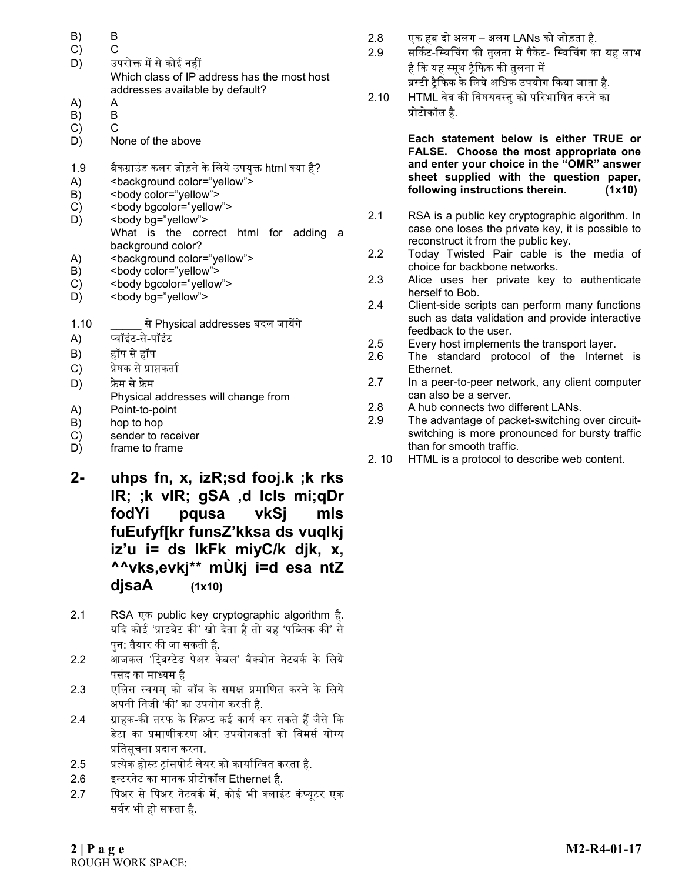- B) B
- C) C
- D) उपरोक्त में से कोई नहीं Which class of IP address has the most host addresses available by default?
- A) A
- B) B
- C) C
- D) None of the above
- 1.9 बैकग्राउंड कलर जोड़ने के लिये उपयुक्त html क्या है?
- A) <background color="yellow">
- B) <br/>body color="yellow">
- C) <br/>
<br/>body bgcolor="yellow">
- D) <br/>body bg="yellow"> What is the correct html for adding a background color?
- A) <br/>  $\blacktriangle$  <br/>background color="yellow">
- B) <br/>body color="yellow">
- C) <br/>body bgcolor="yellow">
- D) <br/>body bg="yellow">
- $1.10 \qquad \qquad \overline{ }$ से Physical addresses बदल जायेंगे
- A) ᭡वॉइंट-से-पॉइंट
- B) हॉप सेहॉप
- C) प्रेषक से प्राप्तकर्ता
- D) फ्रेम से फ्रेम
- Physical addresses will change from
- A) Point-to-point
- B) hop to hop
- C) sender to receiver
- D) frame to frame
- 2- uhps fn, x, izR;sd fooj.k ;k rks lR; ;k vlR; gSA ,d lcls mi;qDr fodYi pqusa vkSj mls fuEufyf[kr funsZ'kksa ds vuqlkj iz'u i= ds lkFk miyC/k djk, x, ^^vks,evkj\*\* mÙkj i=d esa ntZ  $disaA$   $(1x10)$
- 2.1 RSA एक public key cryptographic algorithm है. यदि कोई 'प्राइवेट की' खो देता है तो वह 'पब्लिक की' से पन: तैयार की जा सकती है.
- 2.2 आजकल 'ट्विस्टेड पेअर केबल' बैक्बोन नेटवर्क के लिये पसंद का मा᭟यम है
- 2.3 एलिस स्वयम को बॉब के समक्ष प्रमाणित करने के लिये अपनी निजी 'की' का उपयोग करती है.
- 2.4    ग्राहक-की तरफ के स्क्रिप्ट कई कार्य कर सकते हैं जैसे कि डेटा का प्रमाणीकरण और उपयोगकर्ता को विमर्स योग्य प्रतिसचना प्रदान करना.
- 2.5   प्रत्येक होस्ट टांसपोर्ट लेयर को कार्यान्वित करता है.
- 2.6 इ᭠टरनेट का मानक ᮧोटोकॉल Ethernet है.
- 2.7 पिअर से पिअर नेटवर्क में, कोई भी क्लाइंट कंप्यूटर एक सर्वर भी हो सकता है.
- 2.8 एक हब दो अलग अलग LANs को जोड़ता है.
- 2.9 सर्किट-स्विचिंग की तुलना में पैकेट- स्विचिंग का यह लाभ है कि यह स्मूथ ट्रैफिक की तुलना में ब्रस्टी ट्रैफिक के लिये अधिक उपयोग किया जाता है.
- 2.10 HTML वेब की विषयवस्तु को परिभाषित करने का ᮧोटोकॉल है.

Each statement below is either TRUE or FALSE. Choose the most appropriate one and enter your choice in the "OMR" answer sheet supplied with the question paper, following instructions therein. (1x10)

- 2.1 RSA is a public key cryptographic algorithm. In case one loses the private key, it is possible to reconstruct it from the public key.
- 2.2 Today Twisted Pair cable is the media of choice for backbone networks.
- 2.3 Alice uses her private key to authenticate herself to Bob.
- 2.4 Client-side scripts can perform many functions such as data validation and provide interactive feedback to the user.
- 2.5 Every host implements the transport layer.
- 2.6 The standard protocol of the Internet is Ethernet.
- 2.7 In a peer-to-peer network, any client computer can also be a server.
- 2.8 A hub connects two different LANs.
- 2.9 The advantage of packet-switching over circuitswitching is more pronounced for bursty traffic than for smooth traffic.
- 2. 10 HTML is a protocol to describe web content.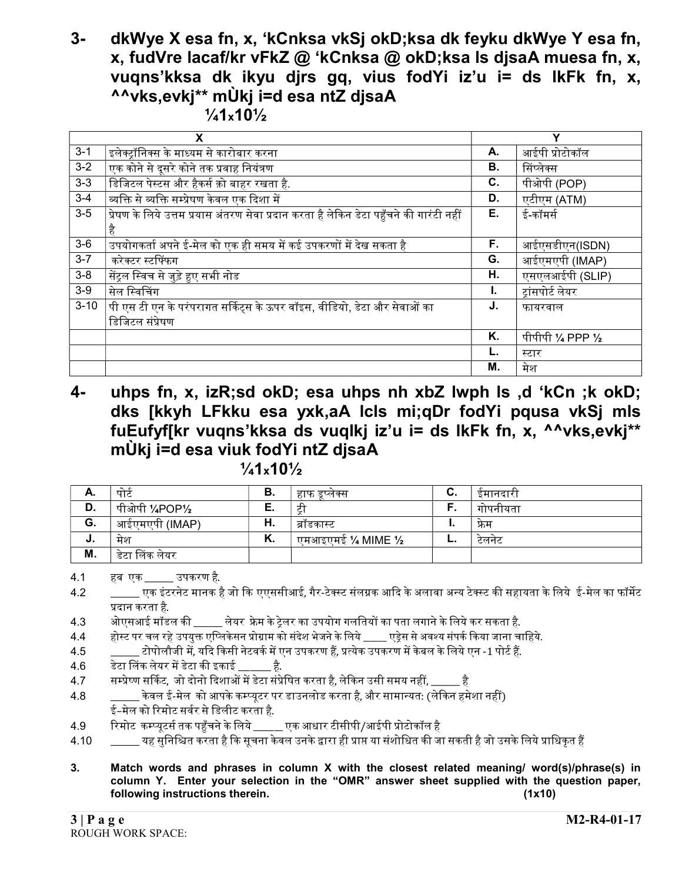## 3- dkWye X esa fn, x, 'kCnksa vkSj okD;ksa dk feyku dkWye Y esa fn, x, fudVre lacaf/kr vFkZ @ 'kCnksa @ okD;ksa ls djsaA muesa fn, x, vuqns'kksa dk ikyu djrs gq, vius fodYi iz'u i= ds lkFk fn, x, ^^vks,evkj\*\* mÙkj i=d esa ntZ djsaA

 $\frac{1}{4}$ 10 $\frac{1}{2}$ 

|          | X                                                                                       |    | Y                  |
|----------|-----------------------------------------------------------------------------------------|----|--------------------|
| $3 - 1$  | इलेक्ट्रॉनिक्स के माध्यम से कारोबार करना                                                | А. | आईपी प्रोटोकॉल     |
| $3 - 2$  | .<br>एक कोने से दूसरे कोने तक प्रवाह नियंत्रण                                           | В. | सिंप्लेक्स         |
| $3-3$    | डिजिटल पेस्टस और हैकर्स क़ो बाहर रखता है.                                               | C. | पीओपी (POP)        |
| $3 - 4$  |                                                                                         | D. | एटीएम (ATM)        |
| $3-5$    | प्रेषण के लिये उत्तम प्रयास अंतरण सेवा प्रदान करता है लेकिन डेटा पहुँचने की गारंटी नहीं | Е. | ई-कॉमर्स           |
|          | है                                                                                      |    |                    |
| $3-6$    | उपयोगकर्ता अपने ई-मेल को एक ही समय में कई उपकरणों में देख सकता है                       | F. | आईएसडीएन(ISDN)     |
| $3 - 7$  | करेक्टर स्टफिंफग                                                                        | G. | आईएमएपी (IMAP)     |
| $3-8$    | सेंट्रल स्विच से जुड़े हुए सभी नोड                                                      | Н. | एसएलआईपी (SLIP)    |
| $3-9$    | सेल स्विचिंग                                                                            | I. | ट्रांसपोर्ट लेयर   |
| $3 - 10$ | पी एस टी एन के परंपरागत सर्किट्स के ऊपर वॉइस, वीडियो, डेटा और सेवाओं का                 | J. | फायरवाल            |
|          | डिजिटल संप्रेषण                                                                         |    |                    |
|          |                                                                                         | Κ. | पीपीपी 1/4 PPP 1/2 |
|          |                                                                                         |    | स्टार              |
|          |                                                                                         | Μ. | मेश                |

4- uhps fn, x, izR;sd okD; esa uhps nh xbZ lwph ls ,d 'kCn ;k okD; dks [kkyh LFkku esa yxk,aA lcls mi;qDr fodYi pqusa vkSj mls fuEufyf[kr vuqns'kksa ds vuqlkj iz'u i= ds lkFk fn, x, ^^vks,evkj\*\* mÙkj i=d esa viuk fodYi ntZ djsaA

 $\frac{1}{4}$ 10 $\frac{1}{2}$ 

| А. | पाट            | В. | हाफ डप्लक्स      | v.  | इमानदारा |
|----|----------------|----|------------------|-----|----------|
| D. | . पीओपी ½POP½  |    |                  |     | गापनायता |
| G. | आईएमएपी (IMAP) | Н. | ब्राडकास्ट       |     | फ्रम     |
| J. | मेश            | Κ. | एमआइएमई ¼ MIME ½ | . . | टलनट     |
| M. | डेटा लिंक लेयर |    |                  |     |          |

4.1 हब एक \_\_\_\_\_\_\_ उपकरण है.

4.2 \_\_\_\_\_\_\_\_ एक इंटरनेट मानक है जो कि एएससीआई, गैर-टेक्स्ट संलग्नक आदि के अलावा अन्य टेक्स्ट की सहायता के लिये ई-मेल का फॉर्मेट ᮧदान करता है.

4.3 aोएसआई मॉडल की लेयर फ्रेम के टेलर का उपयोग गलतियों का पता लगाने के लिये कर सकता है.

4.4 होस्ट पर चल रहे उपयुक्त एप्लिकेसन प्रोग्राम को संदेश भेजने के लिये \_\_\_\_ एड्रेस से अवश्य संपर्क किया जाना चाहिये.

4.5 \_\_\_\_\_\_\_ टोपोलौजी म, ᱶयᳰद ᳰकसी नेटवकᭅमᱶएन उपकरण हᱹ, ᮧ᭜येक उपकरण मᱶके बल केिलयेएन -1 पोटᭅह.ᱹ

 $4.6$  डेटा लिंक लेयर में डेटा की इकाई  $\qquad$  है.

4.7 सम्प्रेष्ण सर्किट, जो दोनो दिशाओं में डेटा संप्रेषित करता है, लेकिन उसी समय नहीं, \_\_\_\_\_\_ है

- 4.8  $\qquad \qquad$ केवल ई-मेल को आपके कम्प्यटर पर डाउनलोड करता है. और सामान्यत: (लेकिन हमेशा नहीं) ई–मेल को रिमोट सर्वर से डिलीट करता है.
- 4.9 रिमोट कम्प्यूटर्स तक पहुँचने के लिये \_\_\_\_\_\_ एक आधार टीसीपी/आईपी प्रोटोकॉल है

4.10 \_\_\_\_\_\_ यह सुनिश्चित करता है कि सूचना केवल उनके द्वारा ही प्राप्त या संशोधित की जा सकती है जो उसके लिये प्राधिकृत हैं

3. Match words and phrases in column X with the closest related meaning/ word(s)/phrase(s) in column Y. Enter your selection in the "OMR" answer sheet supplied with the question paper, following instructions therein. (1x10)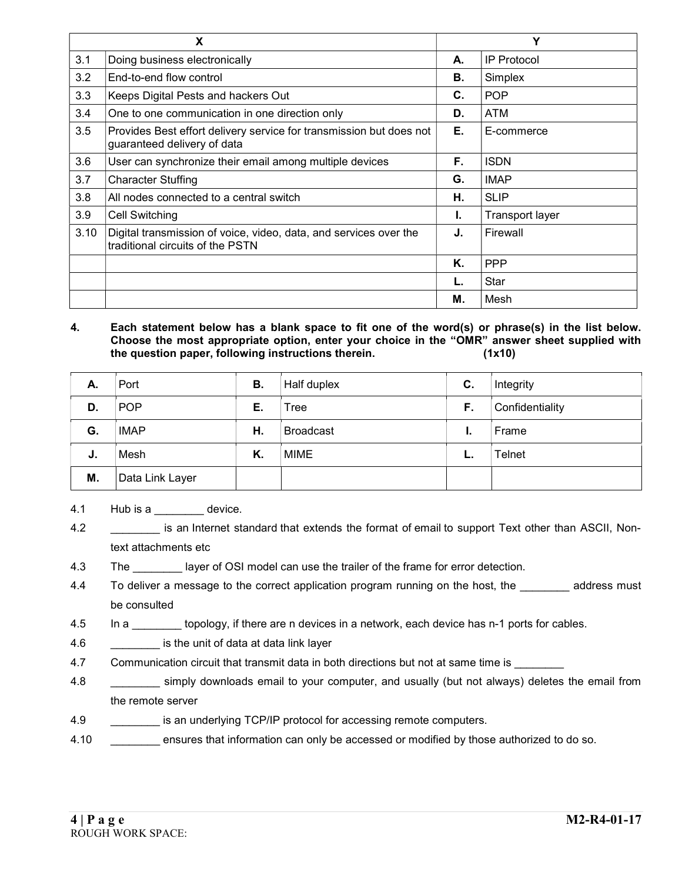|      | X                                                                                                     |    | Υ                  |
|------|-------------------------------------------------------------------------------------------------------|----|--------------------|
| 3.1  | Doing business electronically                                                                         | А. | <b>IP Protocol</b> |
| 3.2  | End-to-end flow control                                                                               | В. | Simplex            |
| 3.3  | Keeps Digital Pests and hackers Out                                                                   | C. | <b>POP</b>         |
| 3.4  | One to one communication in one direction only                                                        | D. | ATM                |
| 3.5  | Provides Best effort delivery service for transmission but does not<br>guaranteed delivery of data    | Е. | E-commerce         |
| 3.6  | User can synchronize their email among multiple devices                                               | F. | <b>ISDN</b>        |
| 3.7  | <b>Character Stuffing</b>                                                                             | G. | <b>IMAP</b>        |
| 3.8  | All nodes connected to a central switch                                                               | Η. | <b>SLIP</b>        |
| 3.9  | Cell Switching                                                                                        | L. | Transport layer    |
| 3.10 | Digital transmission of voice, video, data, and services over the<br>traditional circuits of the PSTN | J. | Firewall           |
|      |                                                                                                       | Κ. | <b>PPP</b>         |
|      |                                                                                                       |    | Star               |
|      |                                                                                                       | М. | Mesh               |

#### 4. Each statement below has a blank space to fit one of the word(s) or phrase(s) in the list below. Choose the most appropriate option, enter your choice in the "OMR" answer sheet supplied with the question paper, following instructions therein. (1x10)

| А. | Port            | В. | Half duplex      | C. | Integrity       |
|----|-----------------|----|------------------|----|-----------------|
| D. | <b>POP</b>      | Е. | Tree             | F. | Confidentiality |
| G. | <b>IMAP</b>     | Н. | <b>Broadcast</b> | ι. | Frame           |
| J. | Mesh            | K. | MIME             |    | Telnet          |
| М. | Data Link Layer |    |                  |    |                 |

4.1 Hub is a device.

- 4.4 To deliver a message to the correct application program running on the host, the \_\_\_\_\_\_\_\_ address must be consulted
- 4.5 In a \_\_\_\_\_\_\_\_ topology, if there are n devices in a network, each device has n-1 ports for cables.
- 4.6 \_\_\_\_\_\_\_\_ is the unit of data at data link layer
- 4.7 Communication circuit that transmit data in both directions but not at same time is
- 4.8 \_\_\_\_\_\_\_\_ simply downloads email to your computer, and usually (but not always) deletes the email from the remote server
- 4.9 **\_\_\_\_\_\_\_\_** is an underlying TCP/IP protocol for accessing remote computers.
- 4.10 \_\_\_\_\_\_\_\_ ensures that information can only be accessed or modified by those authorized to do so.

<sup>4.2</sup> \_\_\_\_\_\_\_\_ is an Internet standard that extends the format of email to support Text other than ASCII, Nontext attachments etc

<sup>4.3</sup> The layer of OSI model can use the trailer of the frame for error detection.